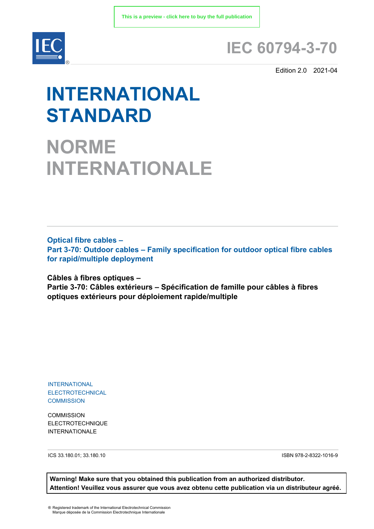

# **IEC 60794-3-70**

Edition 2.0 2021-04

# **INTERNATIONAL STANDARD**

**NORME INTERNATIONALE**

**Optical fibre cables – Part 3-70: Outdoor cables – Family specification for outdoor optical fibre cables for rapid/multiple deployment** 

**Câbles à fibres optiques –** 

**Partie 3-70: Câbles extérieurs – Spécification de famille pour câbles à fibres optiques extérieurs pour déploiement rapide/multiple**

INTERNATIONAL ELECTROTECHNICAL **COMMISSION** 

**COMMISSION** ELECTROTECHNIQUE INTERNATIONALE

ICS 33.180.01; 33.180.10 ISBN 978-2-8322-1016-9

**Warning! Make sure that you obtained this publication from an authorized distributor. Attention! Veuillez vous assurer que vous avez obtenu cette publication via un distributeur agréé.**

® Registered trademark of the International Electrotechnical Commission Marque déposée de la Commission Electrotechnique Internationale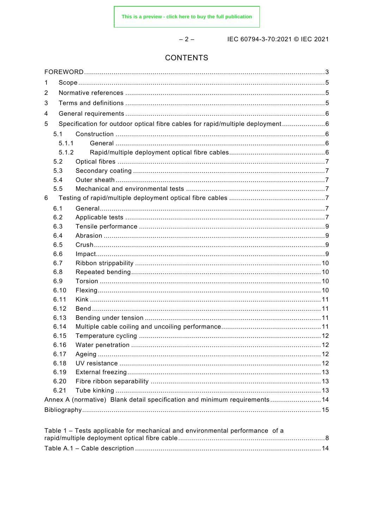$-2-$ 

IEC 60794-3-70:2021 © IEC 2021

# CONTENTS

| 1 |                                                                               |                                                                           |  |  |  |  |
|---|-------------------------------------------------------------------------------|---------------------------------------------------------------------------|--|--|--|--|
| 2 |                                                                               |                                                                           |  |  |  |  |
| 3 |                                                                               |                                                                           |  |  |  |  |
| 4 |                                                                               |                                                                           |  |  |  |  |
| 5 | Specification for outdoor optical fibre cables for rapid/multiple deployment6 |                                                                           |  |  |  |  |
|   | 5.1                                                                           |                                                                           |  |  |  |  |
|   | 5.1.1                                                                         |                                                                           |  |  |  |  |
|   | 5.1.2                                                                         |                                                                           |  |  |  |  |
|   | 5.2                                                                           |                                                                           |  |  |  |  |
|   | 5.3                                                                           |                                                                           |  |  |  |  |
|   | 5.4                                                                           |                                                                           |  |  |  |  |
|   | 5.5                                                                           |                                                                           |  |  |  |  |
| 6 |                                                                               |                                                                           |  |  |  |  |
|   | 6.1                                                                           |                                                                           |  |  |  |  |
|   | 6.2                                                                           |                                                                           |  |  |  |  |
|   | 6.3                                                                           |                                                                           |  |  |  |  |
|   | 6.4                                                                           |                                                                           |  |  |  |  |
|   | 6.5                                                                           |                                                                           |  |  |  |  |
|   | 6.6                                                                           |                                                                           |  |  |  |  |
|   | 6.7                                                                           |                                                                           |  |  |  |  |
|   | 6.8                                                                           |                                                                           |  |  |  |  |
|   | 6.9                                                                           |                                                                           |  |  |  |  |
|   | 6.10                                                                          |                                                                           |  |  |  |  |
|   | 6.11                                                                          |                                                                           |  |  |  |  |
|   | 6.12                                                                          |                                                                           |  |  |  |  |
|   | 6.13                                                                          |                                                                           |  |  |  |  |
|   | 6.14                                                                          |                                                                           |  |  |  |  |
|   | 6.15                                                                          |                                                                           |  |  |  |  |
|   | 6.16<br>6.17                                                                  |                                                                           |  |  |  |  |
|   | 6.18                                                                          |                                                                           |  |  |  |  |
|   | 6.19                                                                          |                                                                           |  |  |  |  |
|   | 6.20                                                                          |                                                                           |  |  |  |  |
|   | 6.21                                                                          |                                                                           |  |  |  |  |
|   |                                                                               | Annex A (normative) Blank detail specification and minimum requirements14 |  |  |  |  |
|   |                                                                               |                                                                           |  |  |  |  |
|   |                                                                               |                                                                           |  |  |  |  |
|   |                                                                               |                                                                           |  |  |  |  |

| Table 1 – Tests applicable for mechanical and environmental performance of a |  |
|------------------------------------------------------------------------------|--|
|                                                                              |  |
|                                                                              |  |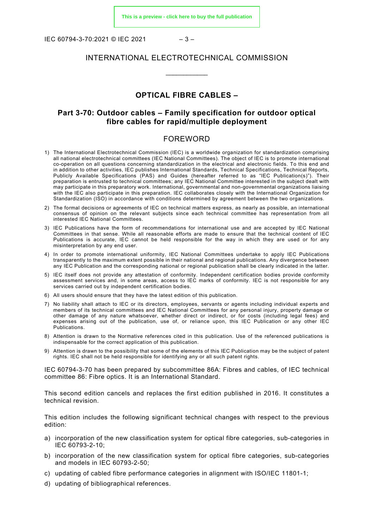IEC 60794-3-70:2021 © IEC 2021 – 3 –

#### INTERNATIONAL ELECTROTECHNICAL COMMISSION

\_\_\_\_\_\_\_\_\_\_\_\_

# **OPTICAL FIBRE CABLES –**

# **Part 3-70: Outdoor cables – Family specification for outdoor optical fibre cables for rapid/multiple deployment**

#### FOREWORD

- <span id="page-2-0"></span>1) The International Electrotechnical Commission (IEC) is a worldwide organization for standardization comprising all national electrotechnical committees (IEC National Committees). The object of IEC is to promote international co-operation on all questions concerning standardization in the electrical and electronic fields. To this end and in addition to other activities, IEC publishes International Standards, Technical Specifications, Technical Reports, Publicly Available Specifications (PAS) and Guides (hereafter referred to as "IEC Publication(s)"). Their preparation is entrusted to technical committees; any IEC National Committee interested in the subject dealt with may participate in this preparatory work. International, governmental and non-governmental organizations liaising with the IEC also participate in this preparation. IEC collaborates closely with the International Organization for Standardization (ISO) in accordance with conditions determined by agreement between the two organizations.
- 2) The formal decisions or agreements of IEC on technical matters express, as nearly as possible, an international consensus of opinion on the relevant subjects since each technical committee has representation from all interested IEC National Committees.
- 3) IEC Publications have the form of recommendations for international use and are accepted by IEC National Committees in that sense. While all reasonable efforts are made to ensure that the technical content of IEC Publications is accurate, IEC cannot be held responsible for the way in which they are used or for any misinterpretation by any end user.
- 4) In order to promote international uniformity, IEC National Committees undertake to apply IEC Publications transparently to the maximum extent possible in their national and regional publications. Any divergence between any IEC Publication and the corresponding national or regional publication shall be clearly indicated in the latter.
- 5) IEC itself does not provide any attestation of conformity. Independent certification bodies provide conformity assessment services and, in some areas, access to IEC marks of conformity. IEC is not responsible for any services carried out by independent certification bodies.
- 6) All users should ensure that they have the latest edition of this publication.
- 7) No liability shall attach to IEC or its directors, employees, servants or agents including individual experts and members of its technical committees and IEC National Committees for any personal injury, property damage or other damage of any nature whatsoever, whether direct or indirect, or for costs (including legal fees) and expenses arising out of the publication, use of, or reliance upon, this IEC Publication or any other IEC Publications.
- 8) Attention is drawn to the Normative references cited in this publication. Use of the referenced publications is indispensable for the correct application of this publication.
- 9) Attention is drawn to the possibility that some of the elements of this IEC Publication may be the subject of patent rights. IEC shall not be held responsible for identifying any or all such patent rights.

IEC 60794-3-70 has been prepared by subcommittee 86A: Fibres and cables, of IEC technical committee 86: Fibre optics. It is an International Standard.

This second edition cancels and replaces the first edition published in 2016. It constitutes a technical revision.

This edition includes the following significant technical changes with respect to the previous edition:

- a) incorporation of the new classification system for optical fibre categories, sub-categories in IEC 60793-2-10;
- b) incorporation of the new classification system for optical fibre categories, sub-categories and models in IEC 60793-2-50;
- c) updating of cabled fibre performance categories in alignment with ISO/IEC 11801-1;
- d) updating of bibliographical references.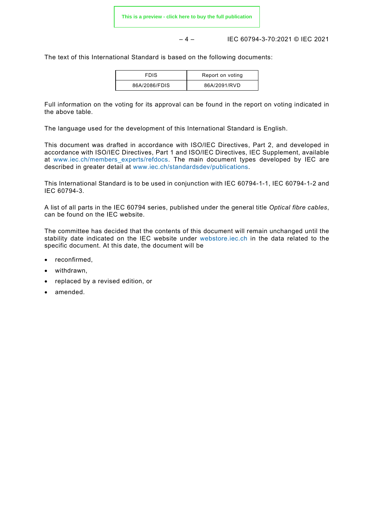– 4 – IEC 60794-3-70:2021 © IEC 2021

The text of this International Standard is based on the following documents:

| <b>FDIS</b>   | Report on voting |
|---------------|------------------|
| 86A/2086/FDIS | 86A/2091/RVD     |

Full information on the voting for its approval can be found in the report on voting indicated in the above table.

The language used for the development of this International Standard is English.

This document was drafted in accordance with ISO/IEC Directives, Part 2, and developed in accordance with ISO/IEC Directives, Part 1 and ISO/IEC Directives, IEC Supplement, available at [www.iec.ch/members\\_experts/refdocs.](http://www.iec.ch/members_experts/refdocs) The main document types developed by IEC are described in greater detail at [www.iec.ch/standardsdev/publications.](http://www.iec.ch/standardsdev/publications)

This International Standard is to be used in conjunction with IEC 60794-1-1, IEC 60794-1-2 and IEC 60794-3.

A list of all parts in the IEC 60794 series, published under the general title *Optical fibre cables*, can be found on the IEC website.

The committee has decided that the contents of this document will remain unchanged until the stability date indicated on the IEC website under [webstore.iec.ch](https://webstore.iec.ch/?ref=menu) in the data related to the specific document. At this date, the document will be

- reconfirmed,
- withdrawn,
- replaced by a revised edition, or
- amended.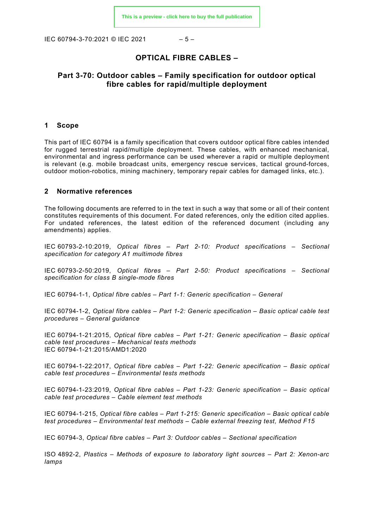IEC 60794-3-70:2021 © IEC 2021 – 5 –

# **OPTICAL FIBRE CABLES –**

# **Part 3-70: Outdoor cables – Family specification for outdoor optical fibre cables for rapid/multiple deployment**

#### <span id="page-4-0"></span>**1 Scope**

This part of IEC 60794 is a family specification that covers outdoor optical fibre cables intended for rugged terrestrial rapid/multiple deployment. These cables, with enhanced mechanical, environmental and ingress performance can be used wherever a rapid or multiple deployment is relevant (e.g. mobile broadcast units, emergency rescue services, tactical ground-forces, outdoor motion-robotics, mining machinery, temporary repair cables for damaged links, etc.).

#### <span id="page-4-1"></span>**2 Normative references**

The following documents are referred to in the text in such a way that some or all of their content constitutes requirements of this document. For dated references, only the edition cited applies. For undated references, the latest edition of the referenced document (including any amendments) applies.

IEC 60793-2-10:2019, *Optical fibres – Part 2-10: Product specifications – Sectional specification for category A1 multimode fibres*

IEC 60793-2-50:2019, *Optical fibres – Part 2-50: Product specifications – Sectional specification for class B single-mode fibres*

IEC 60794-1-1, *Optical fibre cables – Part 1-1: Generic specification – General*

IEC 60794-1-2, *Optical fibre cables – Part 1-2: Generic specification – Basic optical cable test procedures – General guidance*

IEC 60794-1-21:2015, *Optical fibre cables – Part 1-21: Generic specification – Basic optical cable test procedures – Mechanical tests methods*  IEC 60794-1-21:2015/AMD1:2020

IEC 60794-1-22:2017, *Optical fibre cables – Part 1-22: Generic specification – Basic optical cable test procedures – Environmental tests methods*

IEC 60794-1-23:2019, *Optical fibre cables – Part 1-23: Generic specification – Basic optical cable test procedures – Cable element test methods*

IEC 60794-1-215, *Optical fibre cables – Part 1-215: Generic specification – Basic optical cable test procedures – Environmental test methods – Cable external freezing test, Method F15*

IEC 60794-3, *Optical fibre cables – Part 3: Outdoor cables – Sectional specification*

<span id="page-4-2"></span>ISO 4892-2, *Plastics – Methods of exposure to laboratory light sources – Part 2: Xenon-arc lamps*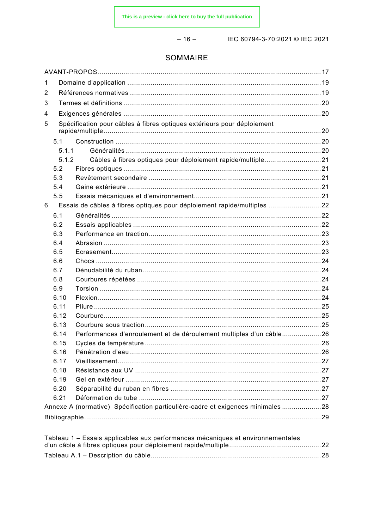$-16-$ 

IEC 60794-3-70:2021 © IEC 2021

# SOMMAIRE

| 1 |                                                                         |                                                                                 |  |  |  |  |
|---|-------------------------------------------------------------------------|---------------------------------------------------------------------------------|--|--|--|--|
| 2 |                                                                         |                                                                                 |  |  |  |  |
| 3 |                                                                         |                                                                                 |  |  |  |  |
| 4 |                                                                         |                                                                                 |  |  |  |  |
| 5 | Spécification pour câbles à fibres optiques extérieurs pour déploiement |                                                                                 |  |  |  |  |
|   |                                                                         |                                                                                 |  |  |  |  |
|   | 5.1                                                                     |                                                                                 |  |  |  |  |
|   | 5.1.1                                                                   |                                                                                 |  |  |  |  |
|   | 5.1.2                                                                   | Câbles à fibres optiques pour déploiement rapide/multiple21                     |  |  |  |  |
|   | 5.2                                                                     |                                                                                 |  |  |  |  |
|   | 5.3                                                                     |                                                                                 |  |  |  |  |
|   | 5.4                                                                     |                                                                                 |  |  |  |  |
|   | 5.5                                                                     |                                                                                 |  |  |  |  |
| 6 |                                                                         | Essais de câbles à fibres optiques pour déploiement rapide/multiples 22         |  |  |  |  |
|   | 6.1                                                                     |                                                                                 |  |  |  |  |
|   | 6.2                                                                     |                                                                                 |  |  |  |  |
|   | 6.3                                                                     |                                                                                 |  |  |  |  |
|   | 6.4                                                                     |                                                                                 |  |  |  |  |
|   | 6.5                                                                     |                                                                                 |  |  |  |  |
|   | 6.6                                                                     |                                                                                 |  |  |  |  |
|   | 6.7                                                                     |                                                                                 |  |  |  |  |
|   | 6.8                                                                     |                                                                                 |  |  |  |  |
|   | 6.9                                                                     |                                                                                 |  |  |  |  |
|   | 6.10                                                                    |                                                                                 |  |  |  |  |
|   | 6.11                                                                    |                                                                                 |  |  |  |  |
|   | 6.12                                                                    |                                                                                 |  |  |  |  |
|   | 6.13                                                                    |                                                                                 |  |  |  |  |
|   | 6.14                                                                    | Performances d'enroulement et de déroulement multiples d'un câble26             |  |  |  |  |
|   | 6.15                                                                    |                                                                                 |  |  |  |  |
|   | 6.16                                                                    |                                                                                 |  |  |  |  |
|   | 6.17                                                                    |                                                                                 |  |  |  |  |
|   | 6.18                                                                    |                                                                                 |  |  |  |  |
|   | 6.19                                                                    |                                                                                 |  |  |  |  |
|   | 6.20                                                                    |                                                                                 |  |  |  |  |
|   | 6.21                                                                    |                                                                                 |  |  |  |  |
|   |                                                                         | Annexe A (normative) Spécification particulière-cadre et exigences minimales 28 |  |  |  |  |
|   |                                                                         |                                                                                 |  |  |  |  |
|   |                                                                         |                                                                                 |  |  |  |  |

| Tableau 1 – Essais applicables aux performances mécaniques et environnementales |  |
|---------------------------------------------------------------------------------|--|
|                                                                                 |  |
|                                                                                 |  |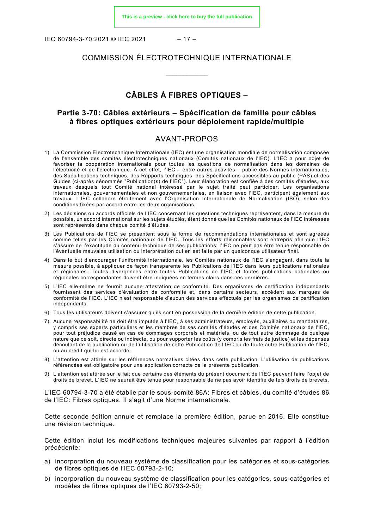IEC 60794-3-70:2021 © IEC 2021 – 17 –

## COMMISSION ÉLECTROTECHNIQUE INTERNATIONALE

\_\_\_\_\_\_\_\_\_\_\_\_

# **CÂBLES À FIBRES OPTIQUES –**

# **Partie 3-70: Câbles extérieurs – Spécification de famille pour câbles à fibres optiques extérieurs pour déploiement rapide/multiple**

#### AVANT-PROPOS

- <span id="page-6-0"></span>1) La Commission Electrotechnique Internationale (IEC) est une organisation mondiale de normalisation composée de l'ensemble des comités électrotechniques nationaux (Comités nationaux de l'IEC). L'IEC a pour objet de favoriser la coopération internationale pour toutes les questions de normalisation dans les domaines de l'électricité et de l'électronique. À cet effet, l'IEC – entre autres activités – publie des Normes internationales, des Spécifications techniques, des Rapports techniques, des Spécifications accessibles au public (PAS) et des Guides (ci-après dénommés "Publication(s) de l'IEC"). Leur élaboration est confiée à des comités d'études, aux travaux desquels tout Comité national intéressé par le sujet traité peut participer. Les organisations internationales, gouvernementales et non gouvernementales, en liaison avec l'IEC, participent également aux travaux. L'IEC collabore étroitement avec l'Organisation Internationale de Normalisation (ISO), selon des conditions fixées par accord entre les deux organisations.
- 2) Les décisions ou accords officiels de l'IEC concernant les questions techniques représentent, dans la mesure du possible, un accord international sur les sujets étudiés, étant donné que les Comités nationaux de l'IEC intéressés sont représentés dans chaque comité d'études.
- 3) Les Publications de l'IEC se présentent sous la forme de recommandations internationales et sont agréées comme telles par les Comités nationaux de l'IEC. Tous les efforts raisonnables sont entrepris afin que l'IEC s'assure de l'exactitude du contenu technique de ses publications; l'IEC ne peut pas être tenue responsable de l'éventuelle mauvaise utilisation ou interprétation qui en est faite par un quelconque utilisateur final.
- 4) Dans le but d'encourager l'uniformité internationale, les Comités nationaux de l'IEC s'engagent, dans toute la mesure possible, à appliquer de façon transparente les Publications de l'IEC dans leurs publications nationales et régionales. Toutes divergences entre toutes Publications de l'IEC et toutes publications nationales ou régionales correspondantes doivent être indiquées en termes clairs dans ces dernières.
- 5) L'IEC elle-même ne fournit aucune attestation de conformité. Des organismes de certification indépendants fournissent des services d'évaluation de conformité et, dans certains secteurs, accèdent aux marques de conformité de l'IEC. L'IEC n'est responsable d'aucun des services effectués par les organismes de certification indépendants.
- 6) Tous les utilisateurs doivent s'assurer qu'ils sont en possession de la dernière édition de cette publication.
- 7) Aucune responsabilité ne doit être imputée à l'IEC, à ses administrateurs, employés, auxiliaires ou mandataires, y compris ses experts particuliers et les membres de ses comités d'études et des Comités nationaux de l'IEC, pour tout préjudice causé en cas de dommages corporels et matériels, ou de tout autre dommage de quelque nature que ce soit, directe ou indirecte, ou pour supporter les coûts (y compris les frais de justice) et les dépenses découlant de la publication ou de l'utilisation de cette Publication de l'IEC ou de toute autre Publication de l'IEC, ou au crédit qui lui est accordé.
- 8) L'attention est attirée sur les références normatives citées dans cette publication. L'utilisation de publications référencées est obligatoire pour une application correcte de la présente publication.
- 9) L'attention est attirée sur le fait que certains des éléments du présent document de l'IEC peuvent faire l'objet de droits de brevet. L'IEC ne saurait être tenue pour responsable de ne pas avoir identifié de tels droits de brevets.

L'IEC 60794-3-70 a été établie par le sous-comité 86A: Fibres et câbles, du comité d'études 86 de l'IEC: Fibres optiques. Il s'agit d'une Norme internationale.

Cette seconde édition annule et remplace la première édition, parue en 2016. Elle constitue une révision technique.

Cette édition inclut les modifications techniques majeures suivantes par rapport à l'édition précédente:

- a) incorporation du nouveau système de classification pour les catégories et sous-catégories de fibres optiques de l'IEC 60793-2-10;
- b) incorporation du nouveau système de classification pour les catégories, sous-catégories et modèles de fibres optiques de l'IEC 60793-2-50;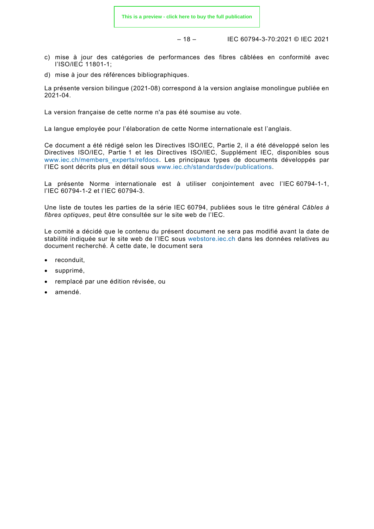– 18 – IEC 60794-3-70:2021 © IEC 2021

- c) mise à jour des catégories de performances des fibres câblées en conformité avec l'ISO/IEC 11801-1;
- d) mise à jour des références bibliographiques.

La présente version bilingue (2021-08) correspond à la version anglaise monolingue publiée en 2021-04.

La version française de cette norme n'a pas été soumise au vote.

La langue employée pour l'élaboration de cette Norme internationale est l'anglais.

Ce document a été rédigé selon les Directives ISO/IEC, Partie 2, il a été développé selon les Directives ISO/IEC, Partie 1 et les Directives ISO/IEC, Supplément IEC, disponibles sous [www.iec.ch/members\\_experts/refdocs.](http://www.iec.ch/members_experts/refdocs) Les principaux types de documents développés par l'IEC sont décrits plus en détail sous [www.iec.ch/standardsdev/publications.](http://www.iec.ch/standardsdev/publications)

La présente Norme internationale est à utiliser conjointement avec l'IEC 60794-1-1, l'IEC 60794-1-2 et l'IEC 60794-3.

Une liste de toutes les parties de la série IEC 60794, publiées sous le titre général *Câbles à fibres optiques*, peut être consultée sur le site web de l'IEC.

Le comité a décidé que le contenu du présent document ne sera pas modifié avant la date de stabilité indiquée sur le site web de l'IEC sous [webstore.iec.ch](https://webstore.iec.ch/?ref=menu) dans les données relatives au document recherché. À cette date, le document sera

- reconduit.
- supprimé,
- remplacé par une édition révisée, ou
- amendé.